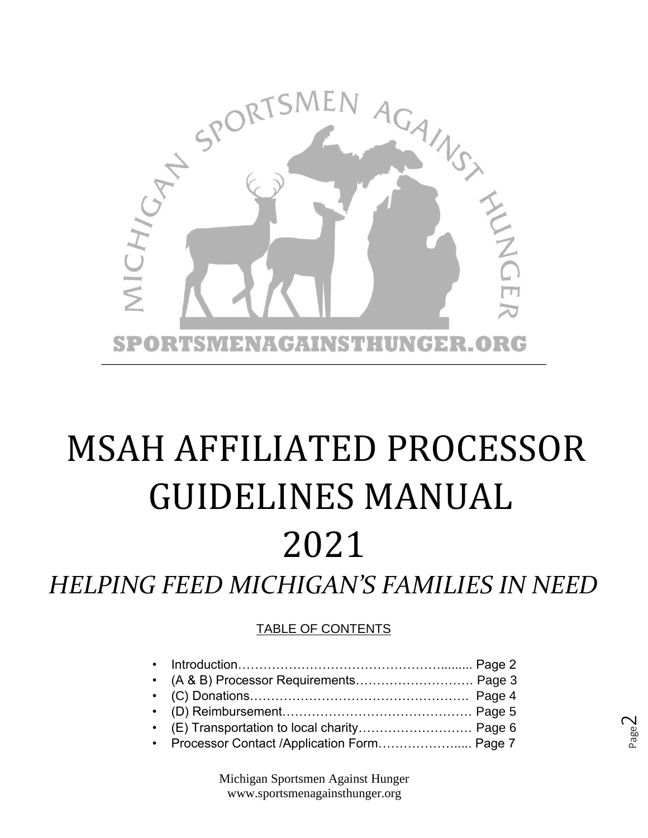

# MSAH AFFILIATED PROCESSOR GUIDELINES MANUAL 2021

*HELPING FEED MICHIGAN'S FAMILIES IN NEED* 

#### TABLE OF CONTENTS

| • (A & B) Processor Requirements Page 3      |  |
|----------------------------------------------|--|
|                                              |  |
|                                              |  |
| • (E) Transportation to local charity Page 6 |  |
| • Processor Contact /Application Form Page 7 |  |
|                                              |  |



Michigan Sportsmen Against Hunger www.sportsmenagainsthunger.org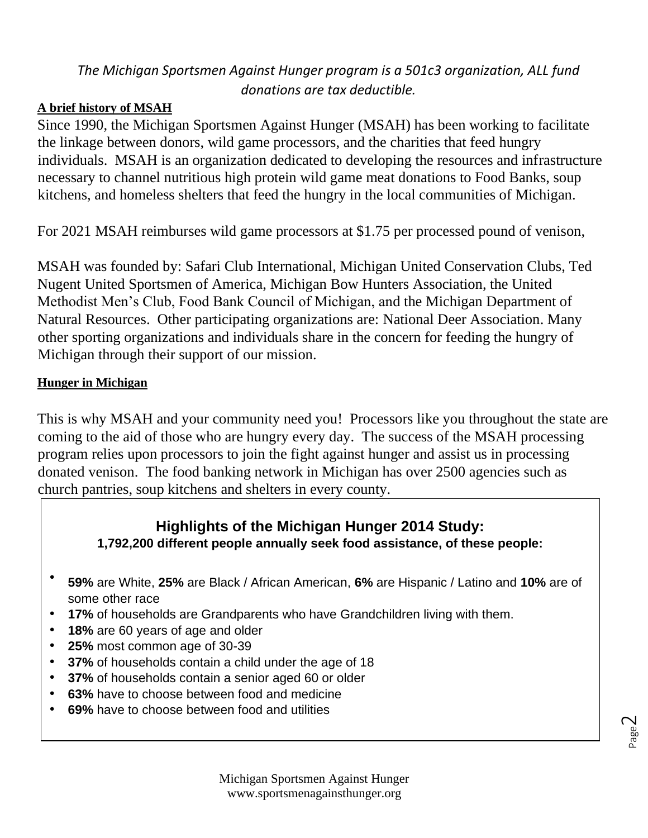# *The Michigan Sportsmen Against Hunger program is a 501c3 organization, ALL fund donations are tax deductible.*

### **A brief history of MSAH**

Since 1990, the Michigan Sportsmen Against Hunger (MSAH) has been working to facilitate the linkage between donors, wild game processors, and the charities that feed hungry individuals. MSAH is an organization dedicated to developing the resources and infrastructure necessary to channel nutritious high protein wild game meat donations to Food Banks, soup kitchens, and homeless shelters that feed the hungry in the local communities of Michigan.

For 2021 MSAH reimburses wild game processors at \$1.75 per processed pound of venison,

MSAH was founded by: Safari Club International, Michigan United Conservation Clubs, Ted Nugent United Sportsmen of America, Michigan Bow Hunters Association, the United Methodist Men's Club, Food Bank Council of Michigan, and the Michigan Department of Natural Resources. Other participating organizations are: National Deer Association. Many other sporting organizations and individuals share in the concern for feeding the hungry of Michigan through their support of our mission.

#### **Hunger in Michigan**

This is why MSAH and your community need you! Processors like you throughout the state are coming to the aid of those who are hungry every day. The success of the MSAH processing program relies upon processors to join the fight against hunger and assist us in processing donated venison. The food banking network in Michigan has over 2500 agencies such as church pantries, soup kitchens and shelters in every county.

# **Highlights of the Michigan Hunger 2014 Study: 1,792,200 different people annually seek food assistance, of these people:**

- $\bullet$ **59%** are White, **25%** are Black / African American, **6%** are Hispanic / Latino and **10%** are of some other race
- **17%** of households are Grandparents who have Grandchildren living with them.
- **18%** are 60 years of age and older
- **25%** most common age of 30-39
- **37%** of households contain a child under the age of 18
- **37%** of households contain a senior aged 60 or older
- **63%** have to choose between food and medicine
- **69%** have to choose between food and utilities

Page  $\mathrel{\sim}$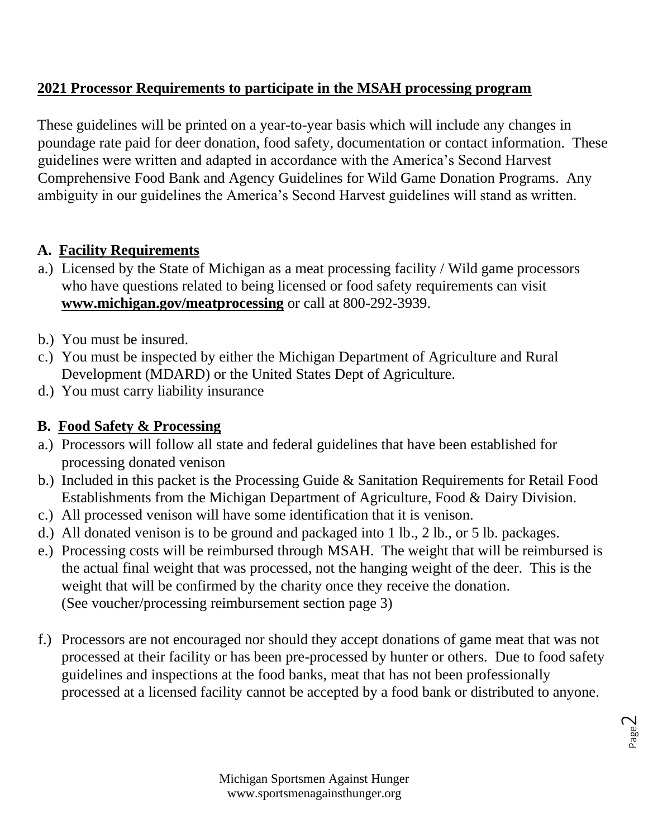# **2021 Processor Requirements to participate in the MSAH processing program**

These guidelines will be printed on a year-to-year basis which will include any changes in poundage rate paid for deer donation, food safety, documentation or contact information. These guidelines were written and adapted in accordance with the America's Second Harvest Comprehensive Food Bank and Agency Guidelines for Wild Game Donation Programs. Any ambiguity in our guidelines the America's Second Harvest guidelines will stand as written.

# **A. Facility Requirements**

- a.) Licensed by the State of Michigan as a meat processing facility / Wild game processors who have questions related to being licensed or food safety requirements can visi[t](about:blank) **[www.michigan.gov/meatprocessing](about:blank)** or call at 800-292-3939.
- b.) You must be insured.
- c.) You must be inspected by either the Michigan Department of Agriculture and Rural Development (MDARD) or the United States Dept of Agriculture.
- d.) You must carry liability insurance

# **B. Food Safety & Processing**

- a.) Processors will follow all state and federal guidelines that have been established for processing donated venison
- b.) Included in this packet is the Processing Guide & Sanitation Requirements for Retail Food Establishments from the Michigan Department of Agriculture, Food & Dairy Division.
- c.) All processed venison will have some identification that it is venison.
- d.) All donated venison is to be ground and packaged into 1 lb., 2 lb., or 5 lb. packages.
- e.) Processing costs will be reimbursed through MSAH. The weight that will be reimbursed is the actual final weight that was processed, not the hanging weight of the deer. This is the weight that will be confirmed by the charity once they receive the donation. (See voucher/processing reimbursement section page 3)
- f.) Processors are not encouraged nor should they accept donations of game meat that was not processed at their facility or has been pre-processed by hunter or others. Due to food safety guidelines and inspections at the food banks, meat that has not been professionally processed at a licensed facility cannot be accepted by a food bank or distributed to anyone.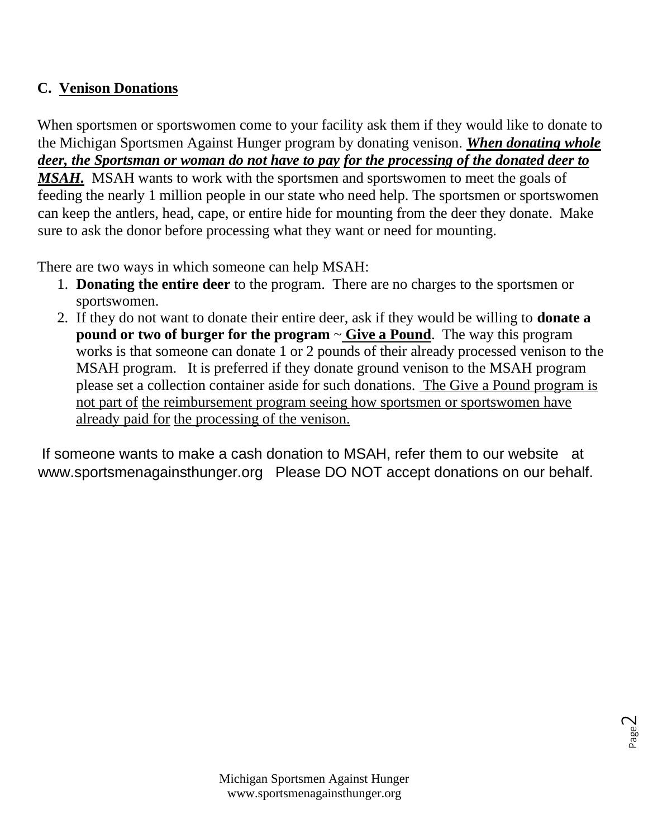# **C. Venison Donations**

When sportsmen or sportswomen come to your facility ask them if they would like to donate to the Michigan Sportsmen Against Hunger program by donating venison. *When donating whole deer, the Sportsman or woman do not have to pay for the processing of the donated deer to MSAH.* MSAH wants to work with the sportsmen and sportswomen to meet the goals of feeding the nearly 1 million people in our state who need help. The sportsmen or sportswomen can keep the antlers, head, cape, or entire hide for mounting from the deer they donate. Make sure to ask the donor before processing what they want or need for mounting.

There are two ways in which someone can help MSAH:

- 1. **Donating the entire deer** to the program. There are no charges to the sportsmen or sportswomen.
- 2. If they do not want to donate their entire deer, ask if they would be willing to **donate a pound or two of burger for the program**  $\sim$  **Give a Pound**. The way this program works is that someone can donate 1 or 2 pounds of their already processed venison to the MSAH program. It is preferred if they donate ground venison to the MSAH program please set a collection container aside for such donations. The Give a Pound program is not part of the reimbursement program seeing how sportsmen or sportswomen have already paid for the processing of the venison.

If someone wants to make a cash donation to MSAH, refer them to our website at [www.sportsmenagainsthunger.org](about:blank) Please DO NOT accept donations on our behalf.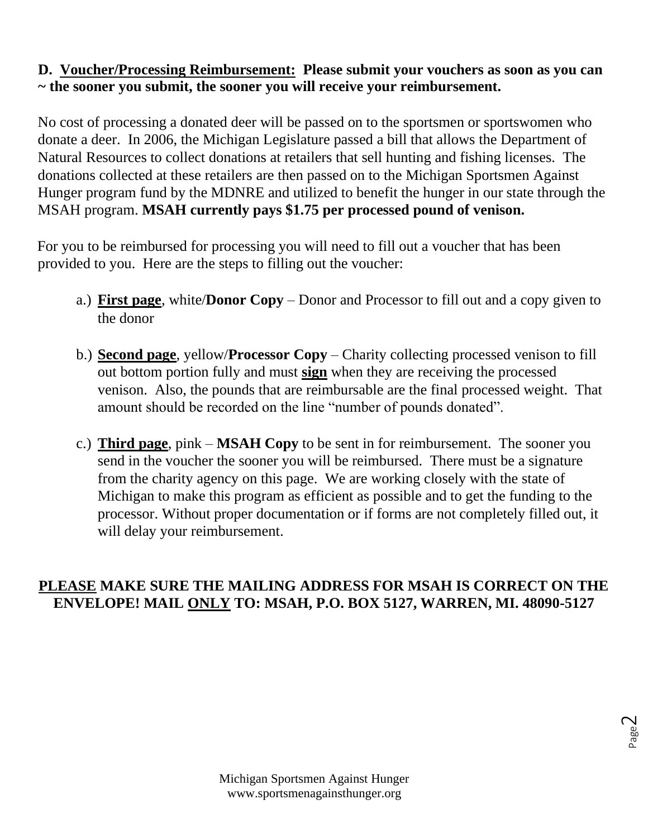# **D. Voucher/Processing Reimbursement: Please submit your vouchers as soon as you can ~ the sooner you submit, the sooner you will receive your reimbursement.**

No cost of processing a donated deer will be passed on to the sportsmen or sportswomen who donate a deer. In 2006, the Michigan Legislature passed a bill that allows the Department of Natural Resources to collect donations at retailers that sell hunting and fishing licenses. The donations collected at these retailers are then passed on to the Michigan Sportsmen Against Hunger program fund by the MDNRE and utilized to benefit the hunger in our state through the MSAH program. **MSAH currently pays \$1.75 per processed pound of venison.** 

For you to be reimbursed for processing you will need to fill out a voucher that has been provided to you. Here are the steps to filling out the voucher:

- a.) **First page**, white/**Donor Copy** Donor and Processor to fill out and a copy given to the donor
- b.) **Second page**, yellow/**Processor Copy** Charity collecting processed venison to fill out bottom portion fully and must **sign** when they are receiving the processed venison. Also, the pounds that are reimbursable are the final processed weight. That amount should be recorded on the line "number of pounds donated".
- c.) **Third page**, pink **MSAH Copy** to be sent in for reimbursement. The sooner you send in the voucher the sooner you will be reimbursed. There must be a signature from the charity agency on this page. We are working closely with the state of Michigan to make this program as efficient as possible and to get the funding to the processor. Without proper documentation or if forms are not completely filled out, it will delay your reimbursement.

# **PLEASE MAKE SURE THE MAILING ADDRESS FOR MSAH IS CORRECT ON THE ENVELOPE! MAIL ONLY TO: MSAH, P.O. BOX 5127, WARREN, MI. 48090-5127**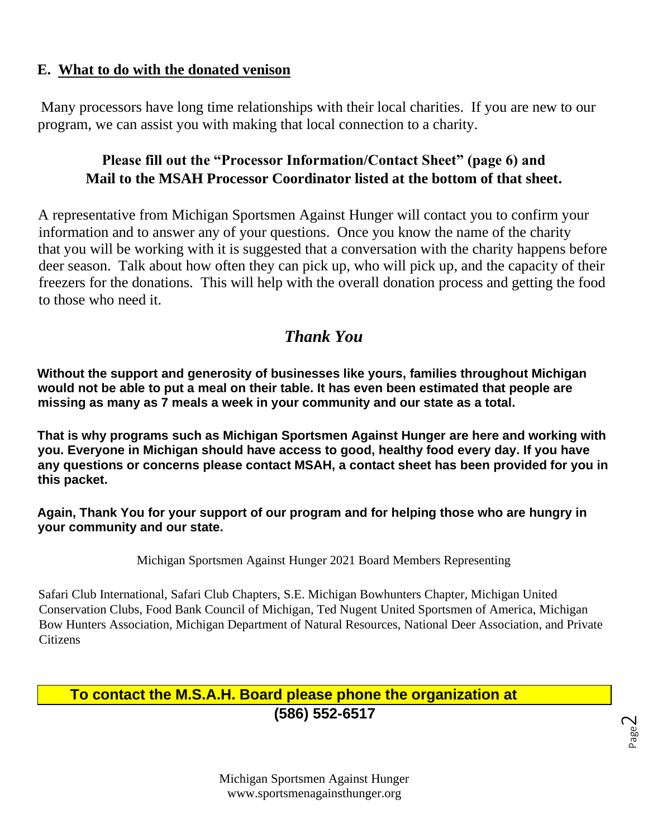## **E. What to do with the donated venison**

Many processors have long time relationships with their local charities. If you are new to our program, we can assist you with making that local connection to a charity.

# **Please fill out the "Processor Information/Contact Sheet" (page 6) and Mail to the MSAH Processor Coordinator listed at the bottom of that sheet.**

A representative from Michigan Sportsmen Against Hunger will contact you to confirm your information and to answer any of your questions. Once you know the name of the charity that you will be working with it is suggested that a conversation with the charity happens before deer season. Talk about how often they can pick up, who will pick up, and the capacity of their freezers for the donations. This will help with the overall donation process and getting the food to those who need it.

# *Thank You*

**Without the support and generosity of businesses like yours, families throughout Michigan would not be able to put a meal on their table. It has even been estimated that people are missing as many as 7 meals a week in your community and our state as a total.** 

**That is why programs such as Michigan Sportsmen Against Hunger are here and working with you. Everyone in Michigan should have access to good, healthy food every day. If you have any questions or concerns please contact MSAH, a contact sheet has been provided for you in this packet.** 

**Again, Thank You for your support of our program and for helping those who are hungry in your community and our state.** 

Michigan Sportsmen Against Hunger 2021 Board Members Representing

Safari Club International, Safari Club Chapters, S.E. Michigan Bowhunters Chapter, Michigan United Conservation Clubs, Food Bank Council of Michigan, Ted Nugent United Sportsmen of America, Michigan Bow Hunters Association, Michigan Department of Natural Resources, National Deer Association, and Private Citizens

# **To contact the M.S.A.H. Board please phone the organization at (586) 552-6517**